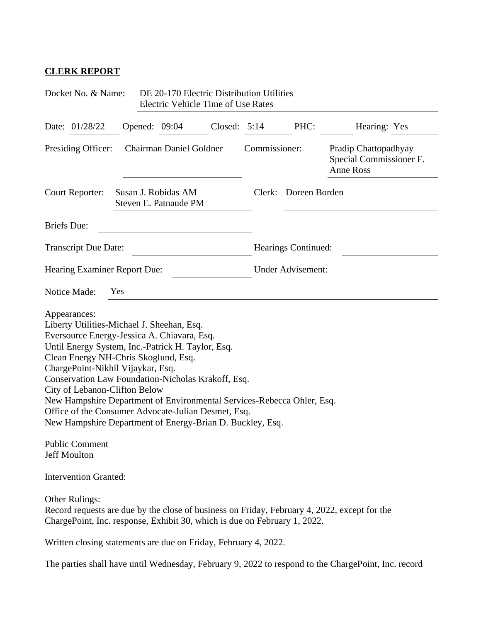## **CLERK REPORT**

| Docket No. & Name:                                                                                                                                                                                                                                                                                                                                                                                                                                                                                                                        |                                              |  | DE 20-170 Electric Distribution Utilities<br><b>Electric Vehicle Time of Use Rates</b> |                |               |                          |                                                                                                     |  |
|-------------------------------------------------------------------------------------------------------------------------------------------------------------------------------------------------------------------------------------------------------------------------------------------------------------------------------------------------------------------------------------------------------------------------------------------------------------------------------------------------------------------------------------------|----------------------------------------------|--|----------------------------------------------------------------------------------------|----------------|---------------|--------------------------|-----------------------------------------------------------------------------------------------------|--|
| Date: 01/28/22                                                                                                                                                                                                                                                                                                                                                                                                                                                                                                                            |                                              |  | Opened: 09:04                                                                          | Closed: $5:14$ |               | PHC:                     | Hearing: Yes                                                                                        |  |
| Presiding Officer:                                                                                                                                                                                                                                                                                                                                                                                                                                                                                                                        | Chairman Daniel Goldner                      |  |                                                                                        |                | Commissioner: |                          | Pradip Chattopadhyay<br>Special Commissioner F.<br><b>Anne Ross</b>                                 |  |
| Court Reporter:                                                                                                                                                                                                                                                                                                                                                                                                                                                                                                                           | Susan J. Robidas AM<br>Steven E. Patnaude PM |  |                                                                                        |                | Clerk:        | Doreen Borden            |                                                                                                     |  |
| <b>Briefs</b> Due:                                                                                                                                                                                                                                                                                                                                                                                                                                                                                                                        |                                              |  |                                                                                        |                |               |                          |                                                                                                     |  |
| <b>Transcript Due Date:</b>                                                                                                                                                                                                                                                                                                                                                                                                                                                                                                               |                                              |  |                                                                                        |                |               | Hearings Continued:      |                                                                                                     |  |
| Hearing Examiner Report Due:                                                                                                                                                                                                                                                                                                                                                                                                                                                                                                              |                                              |  |                                                                                        |                |               | <b>Under Advisement:</b> |                                                                                                     |  |
| Notice Made:                                                                                                                                                                                                                                                                                                                                                                                                                                                                                                                              | Yes                                          |  |                                                                                        |                |               |                          |                                                                                                     |  |
| Liberty Utilities-Michael J. Sheehan, Esq.<br>Eversource Energy-Jessica A. Chiavara, Esq.<br>Until Energy System, Inc.-Patrick H. Taylor, Esq.<br>Clean Energy NH-Chris Skoglund, Esq.<br>ChargePoint-Nikhil Vijaykar, Esq.<br>Conservation Law Foundation-Nicholas Krakoff, Esq.<br>City of Lebanon-Clifton Below<br>New Hampshire Department of Environmental Services-Rebecca Ohler, Esq.<br>Office of the Consumer Advocate-Julian Desmet, Esq.<br>New Hampshire Department of Energy-Brian D. Buckley, Esq.<br><b>Public Comment</b> |                                              |  |                                                                                        |                |               |                          |                                                                                                     |  |
| Jeff Moulton<br><b>Intervention Granted:</b>                                                                                                                                                                                                                                                                                                                                                                                                                                                                                              |                                              |  |                                                                                        |                |               |                          |                                                                                                     |  |
|                                                                                                                                                                                                                                                                                                                                                                                                                                                                                                                                           |                                              |  |                                                                                        |                |               |                          |                                                                                                     |  |
| <b>Other Rulings:</b><br>ChargePoint, Inc. response, Exhibit 30, which is due on February 1, 2022.                                                                                                                                                                                                                                                                                                                                                                                                                                        |                                              |  |                                                                                        |                |               |                          | Record requests are due by the close of business on Friday, February 4, 2022, except for the        |  |
| Written closing statements are due on Friday, February 4, 2022.                                                                                                                                                                                                                                                                                                                                                                                                                                                                           |                                              |  |                                                                                        |                |               |                          |                                                                                                     |  |
|                                                                                                                                                                                                                                                                                                                                                                                                                                                                                                                                           |                                              |  |                                                                                        |                |               |                          | The parties shall have until Wednesday, February 9, 2022 to respond to the ChargePoint, Inc. record |  |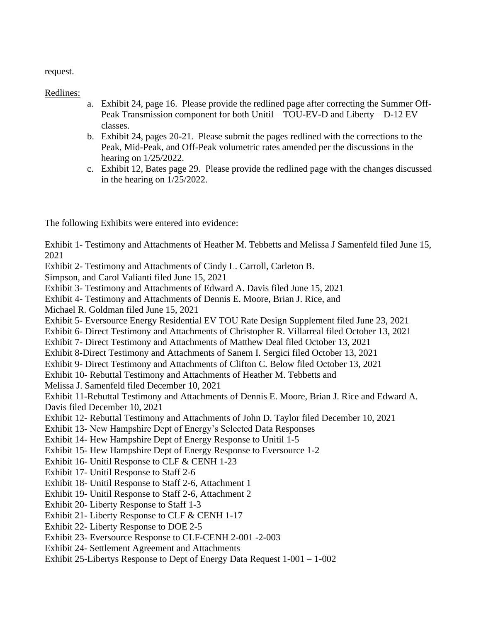request.

Redlines:

- a. Exhibit 24, page 16. Please provide the redlined page after correcting the Summer Off-Peak Transmission component for both Unitil – TOU-EV-D and Liberty – D-12 EV classes.
- b. Exhibit 24, pages 20-21. Please submit the pages redlined with the corrections to the Peak, Mid-Peak, and Off-Peak volumetric rates amended per the discussions in the hearing on 1/25/2022.
- c. Exhibit 12, Bates page 29. Please provide the redlined page with the changes discussed in the hearing on 1/25/2022.

The following Exhibits were entered into evidence:

Exhibit 1- Testimony and Attachments of Heather M. Tebbetts and Melissa J Samenfeld filed June 15, 2021

Exhibit 2- Testimony and Attachments of Cindy L. Carroll, Carleton B.

Simpson, and Carol Valianti filed June 15, 2021

Exhibit 3- Testimony and Attachments of Edward A. Davis filed June 15, 2021

Exhibit 4- Testimony and Attachments of Dennis E. Moore, Brian J. Rice, and

Michael R. Goldman filed June 15, 2021

Exhibit 5- Eversource Energy Residential EV TOU Rate Design Supplement filed June 23, 2021

Exhibit 6- Direct Testimony and Attachments of Christopher R. Villarreal filed October 13, 2021

Exhibit 7- Direct Testimony and Attachments of Matthew Deal filed October 13, 2021

Exhibit 8-Direct Testimony and Attachments of Sanem I. Sergici filed October 13, 2021

Exhibit 9- Direct Testimony and Attachments of Clifton C. Below filed October 13, 2021

Exhibit 10- Rebuttal Testimony and Attachments of Heather M. Tebbetts and

Melissa J. Samenfeld filed December 10, 2021

Exhibit 11-Rebuttal Testimony and Attachments of Dennis E. Moore, Brian J. Rice and Edward A. Davis filed December 10, 2021

Exhibit 12- Rebuttal Testimony and Attachments of John D. Taylor filed December 10, 2021

Exhibit 13- New Hampshire Dept of Energy's Selected Data Responses

Exhibit 14- Hew Hampshire Dept of Energy Response to Unitil 1-5

Exhibit 15- Hew Hampshire Dept of Energy Response to Eversource 1-2

Exhibit 16- Unitil Response to CLF & CENH 1-23

Exhibit 17- Unitil Response to Staff 2-6

Exhibit 18- Unitil Response to Staff 2-6, Attachment 1

Exhibit 19- Unitil Response to Staff 2-6, Attachment 2

Exhibit 20- Liberty Response to Staff 1-3

Exhibit 21- Liberty Response to CLF & CENH 1-17

Exhibit 22- Liberty Response to DOE 2-5

Exhibit 23- Eversource Response to CLF-CENH 2-001 -2-003

Exhibit 24- Settlement Agreement and Attachments

Exhibit 25-Libertys Response to Dept of Energy Data Request 1-001 – 1-002